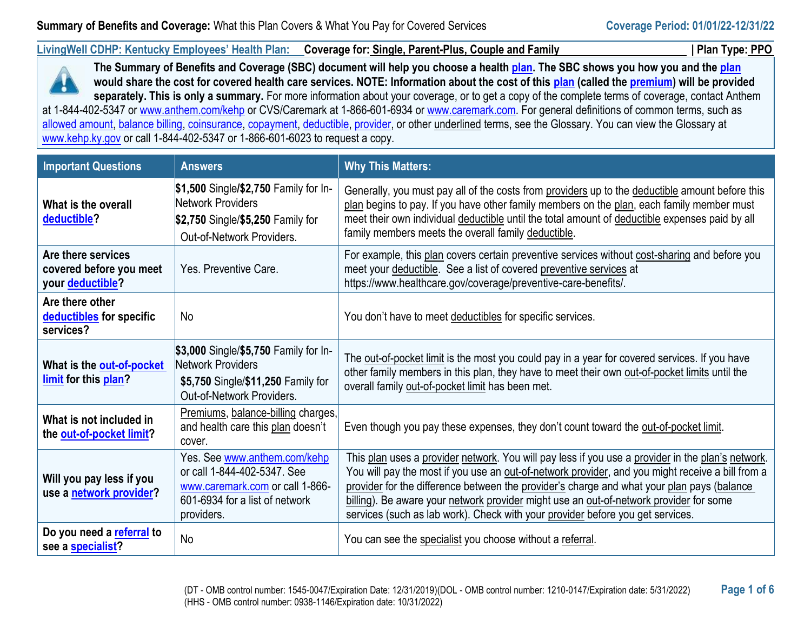**LivingWell CDHP: Kentucky Employees' Health Plan: Coverage for: Single, Parent-Plus, Couple and Family | Plan Type: PPO**



**The Summary of Benefits and Coverage (SBC) document will help you choose a healt[h plan.](https://www.healthcare.gov/sbc-glossary/#plan) The SBC shows you how you and the [plan](https://www.healthcare.gov/sbc-glossary/#plan) would share the cost for covered health care services. NOTE: Information about the cost of this [plan](https://www.healthcare.gov/sbc-glossary/#plan) (called the [premium\)](https://www.healthcare.gov/sbc-glossary/#premium) will be provided separately. This is only a summary.** For more information about your coverage, or to get a copy of the complete terms of coverage, contact Anthem at 1-844-402-5347 or [www.anthem.com/kehp](http://www.anthem.com/kehp) or CVS/Caremark at 1-866-601-6934 or [www.caremark.com.](http://www.caremark.com/) For general definitions of common terms, such as [allowed amount,](https://www.healthcare.gov/sbc-glossary/#allowed-amount) [balance billing,](https://www.healthcare.gov/sbc-glossary/#balance-billing) [coinsurance,](https://www.healthcare.gov/sbc-glossary/#coinsurance) [copayment,](https://www.healthcare.gov/sbc-glossary/#copayment) [deductible,](https://www.healthcare.gov/sbc-glossary/#deductible) [provider,](https://www.healthcare.gov/sbc-glossary/#provider) or other underlined terms, see the Glossary. You can view the Glossary at [www.kehp.ky.gov](http://www.kehp.ky.gov/) or call 1-844-402-5347 or 1-866-601-6023 to request a copy.

| <b>Important Questions</b>                                        | <b>Answers</b>                                                                                                                                 | <b>Why This Matters:</b>                                                                                                                                                                                                                                                                                                                                                                                                                                                        |
|-------------------------------------------------------------------|------------------------------------------------------------------------------------------------------------------------------------------------|---------------------------------------------------------------------------------------------------------------------------------------------------------------------------------------------------------------------------------------------------------------------------------------------------------------------------------------------------------------------------------------------------------------------------------------------------------------------------------|
| What is the overall<br>deductible?                                | \$1,500 Single/\$2,750 Family for In-<br>Network Providers<br>\$2,750 Single/\$5,250 Family for<br>Out-of-Network Providers.                   | Generally, you must pay all of the costs from providers up to the deductible amount before this<br>plan begins to pay. If you have other family members on the plan, each family member must<br>meet their own individual deductible until the total amount of deductible expenses paid by all<br>family members meets the overall family deductible.                                                                                                                           |
| Are there services<br>covered before you meet<br>your deductible? | Yes. Preventive Care.                                                                                                                          | For example, this plan covers certain preventive services without cost-sharing and before you<br>meet your deductible. See a list of covered preventive services at<br>https://www.healthcare.gov/coverage/preventive-care-benefits/.                                                                                                                                                                                                                                           |
| Are there other<br>deductibles for specific<br>services?          | No                                                                                                                                             | You don't have to meet deductibles for specific services.                                                                                                                                                                                                                                                                                                                                                                                                                       |
| What is the out-of-pocket<br>limit for this plan?                 | \$3,000 Single/\$5,750 Family for In-<br>Network Providers<br>\$5,750 Single/\$11,250 Family for<br>Out-of-Network Providers.                  | The out-of-pocket limit is the most you could pay in a year for covered services. If you have<br>other family members in this plan, they have to meet their own out-of-pocket limits until the<br>overall family out-of-pocket limit has been met.                                                                                                                                                                                                                              |
| What is not included in<br>the out-of-pocket limit?               | Premiums, balance-billing charges,<br>and health care this plan doesn't<br>cover.                                                              | Even though you pay these expenses, they don't count toward the out-of-pocket limit.                                                                                                                                                                                                                                                                                                                                                                                            |
| Will you pay less if you<br>use a network provider?               | Yes. See www.anthem.com/kehp<br>or call 1-844-402-5347. See<br>www.caremark.com or call 1-866-<br>601-6934 for a list of network<br>providers. | This plan uses a provider network. You will pay less if you use a provider in the plan's network.<br>You will pay the most if you use an out-of-network provider, and you might receive a bill from a<br>provider for the difference between the provider's charge and what your plan pays (balance<br>billing). Be aware your network provider might use an out-of-network provider for some<br>services (such as lab work). Check with your provider before you get services. |
| Do you need a referral to<br>see a specialist?                    | <b>No</b>                                                                                                                                      | You can see the specialist you choose without a referral.                                                                                                                                                                                                                                                                                                                                                                                                                       |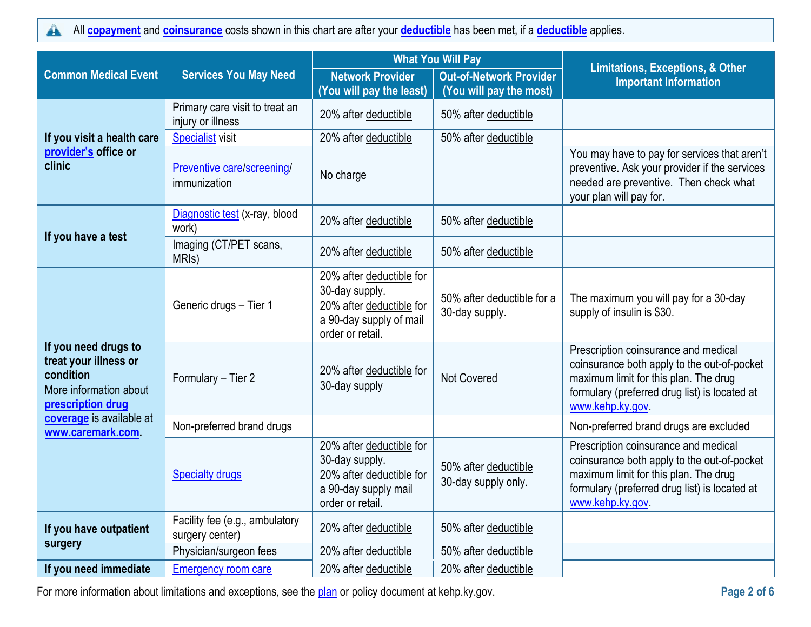All **[copayment](https://www.healthcare.gov/sbc-glossary/#copayment)** and **[coinsurance](https://www.healthcare.gov/sbc-glossary/#coinsurance)** costs shown in this chart are after your **[deductible](https://www.healthcare.gov/sbc-glossary/#deductible)** has been met, if a **[deductible](https://www.healthcare.gov/sbc-glossary/#deductible)** applies.  $\blacktriangle$ 

|                                                                                                           | <b>What You Will Pay</b>                            |                                                                                                                       |                                                           |                                                                                                                                                                                                  |
|-----------------------------------------------------------------------------------------------------------|-----------------------------------------------------|-----------------------------------------------------------------------------------------------------------------------|-----------------------------------------------------------|--------------------------------------------------------------------------------------------------------------------------------------------------------------------------------------------------|
| <b>Common Medical Event</b>                                                                               | <b>Services You May Need</b>                        | <b>Network Provider</b><br>(You will pay the least)                                                                   | <b>Out-of-Network Provider</b><br>(You will pay the most) | <b>Limitations, Exceptions, &amp; Other</b><br><b>Important Information</b>                                                                                                                      |
|                                                                                                           | Primary care visit to treat an<br>injury or illness | 20% after deductible                                                                                                  | 50% after deductible                                      |                                                                                                                                                                                                  |
| If you visit a health care                                                                                | <b>Specialist visit</b>                             | 20% after deductible                                                                                                  | 50% after deductible                                      |                                                                                                                                                                                                  |
| provider's office or<br>clinic                                                                            | Preventive care/screening/<br>immunization          | No charge                                                                                                             |                                                           | You may have to pay for services that aren't<br>preventive. Ask your provider if the services<br>needed are preventive. Then check what<br>your plan will pay for.                               |
|                                                                                                           | Diagnostic test (x-ray, blood<br>work)              | 20% after deductible                                                                                                  | 50% after deductible                                      |                                                                                                                                                                                                  |
| If you have a test                                                                                        | Imaging (CT/PET scans,<br>MRI <sub>s</sub> )        | 20% after deductible                                                                                                  | 50% after deductible                                      |                                                                                                                                                                                                  |
|                                                                                                           | Generic drugs - Tier 1                              | 20% after deductible for<br>30-day supply.<br>20% after deductible for<br>a 90-day supply of mail<br>order or retail. | 50% after deductible for a<br>30-day supply.              | The maximum you will pay for a 30-day<br>supply of insulin is \$30.                                                                                                                              |
| If you need drugs to<br>treat your illness or<br>condition<br>More information about<br>prescription drug | Formulary - Tier 2                                  | 20% after deductible for<br>30-day supply                                                                             | Not Covered                                               | Prescription coinsurance and medical<br>coinsurance both apply to the out-of-pocket<br>maximum limit for this plan. The drug<br>formulary (preferred drug list) is located at<br>www.kehp.ky.gov |
| coverage is available at<br>www.caremark.com                                                              | Non-preferred brand drugs                           |                                                                                                                       |                                                           | Non-preferred brand drugs are excluded                                                                                                                                                           |
|                                                                                                           | <b>Specialty drugs</b>                              | 20% after deductible for<br>30-day supply.<br>20% after deductible for<br>a 90-day supply mail<br>order or retail.    | 50% after deductible<br>30-day supply only.               | Prescription coinsurance and medical<br>coinsurance both apply to the out-of-pocket<br>maximum limit for this plan. The drug<br>formulary (preferred drug list) is located at<br>www.kehp.ky.gov |
| If you have outpatient<br>surgery                                                                         | Facility fee (e.g., ambulatory<br>surgery center)   | 20% after deductible                                                                                                  | 50% after deductible                                      |                                                                                                                                                                                                  |
|                                                                                                           | Physician/surgeon fees                              | 20% after deductible                                                                                                  | 50% after deductible                                      |                                                                                                                                                                                                  |
| If you need immediate                                                                                     | <b>Emergency room care</b>                          | 20% after deductible                                                                                                  | 20% after deductible                                      |                                                                                                                                                                                                  |

For more information about limitations and exceptions, see the **plan** or policy document at kehp.ky.gov. **Page 2 page 2 page 2** of 6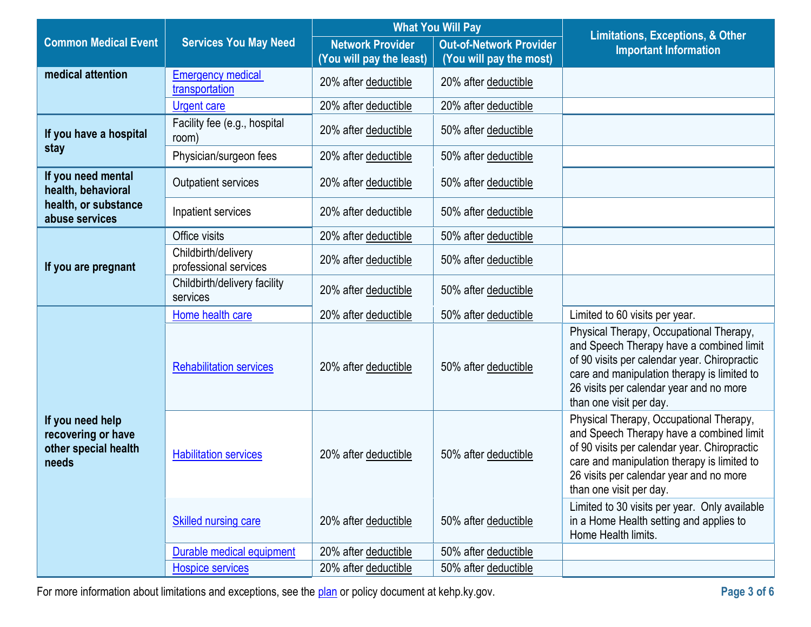|                                                                         |                                              | <b>What You Will Pay</b> |                                | <b>Limitations, Exceptions, &amp; Other</b>                                                                                                                                                                                                              |
|-------------------------------------------------------------------------|----------------------------------------------|--------------------------|--------------------------------|----------------------------------------------------------------------------------------------------------------------------------------------------------------------------------------------------------------------------------------------------------|
| <b>Common Medical Event</b>                                             | <b>Services You May Need</b>                 | <b>Network Provider</b>  | <b>Out-of-Network Provider</b> | <b>Important Information</b>                                                                                                                                                                                                                             |
|                                                                         |                                              | (You will pay the least) | (You will pay the most)        |                                                                                                                                                                                                                                                          |
| medical attention                                                       | <b>Emergency medical</b><br>transportation   | 20% after deductible     | 20% after deductible           |                                                                                                                                                                                                                                                          |
|                                                                         | <b>Urgent care</b>                           | 20% after deductible     | 20% after deductible           |                                                                                                                                                                                                                                                          |
| If you have a hospital                                                  | Facility fee (e.g., hospital<br>room)        | 20% after deductible     | 50% after deductible           |                                                                                                                                                                                                                                                          |
| stay                                                                    | Physician/surgeon fees                       | 20% after deductible     | 50% after deductible           |                                                                                                                                                                                                                                                          |
| If you need mental<br>health, behavioral                                | <b>Outpatient services</b>                   | 20% after deductible     | 50% after deductible           |                                                                                                                                                                                                                                                          |
| health, or substance<br>abuse services                                  | Inpatient services                           | 20% after deductible     | 50% after deductible           |                                                                                                                                                                                                                                                          |
|                                                                         | Office visits                                | 20% after deductible     | 50% after deductible           |                                                                                                                                                                                                                                                          |
| If you are pregnant                                                     | Childbirth/delivery<br>professional services | 20% after deductible     | 50% after deductible           |                                                                                                                                                                                                                                                          |
|                                                                         | Childbirth/delivery facility<br>services     | 20% after deductible     | 50% after deductible           |                                                                                                                                                                                                                                                          |
|                                                                         | Home health care                             | 20% after deductible     | 50% after deductible           | Limited to 60 visits per year.                                                                                                                                                                                                                           |
|                                                                         | <b>Rehabilitation services</b>               | 20% after deductible     | 50% after deductible           | Physical Therapy, Occupational Therapy,<br>and Speech Therapy have a combined limit<br>of 90 visits per calendar year. Chiropractic<br>care and manipulation therapy is limited to<br>26 visits per calendar year and no more<br>than one visit per day. |
| If you need help<br>recovering or have<br>other special health<br>needs | <b>Habilitation services</b>                 | 20% after deductible     | 50% after deductible           | Physical Therapy, Occupational Therapy,<br>and Speech Therapy have a combined limit<br>of 90 visits per calendar year. Chiropractic<br>care and manipulation therapy is limited to<br>26 visits per calendar year and no more<br>than one visit per day. |
|                                                                         | Skilled nursing care                         | 20% after deductible     | 50% after deductible           | Limited to 30 visits per year. Only available<br>in a Home Health setting and applies to<br>Home Health limits.                                                                                                                                          |
|                                                                         | Durable medical equipment                    | 20% after deductible     | 50% after deductible           |                                                                                                                                                                                                                                                          |
|                                                                         | <b>Hospice services</b>                      | 20% after deductible     | 50% after deductible           |                                                                                                                                                                                                                                                          |

For more information about limitations and exceptions, see the **plan** or policy document at kehp.ky.gov. **Page 3 Page 3 Page 3 of 6**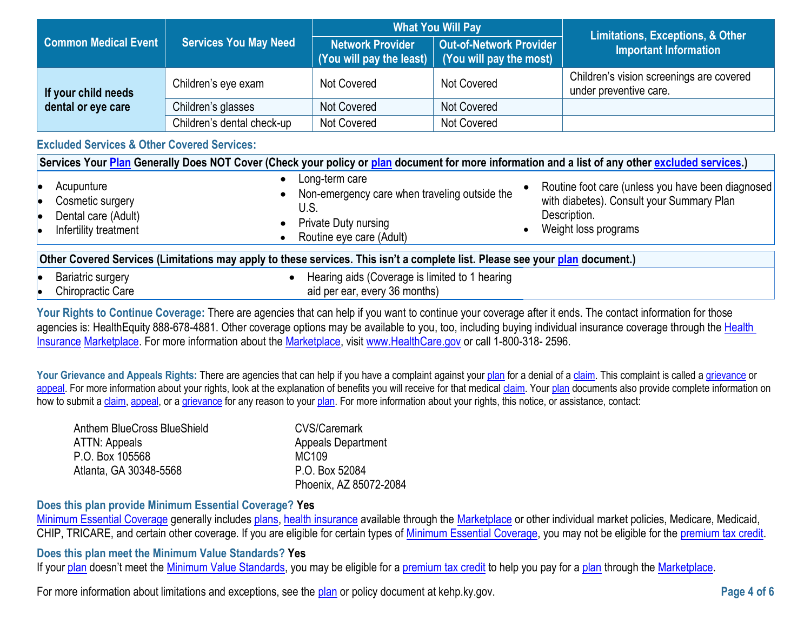|                             |                              | <b>What You Will Pay</b> |                                                                                    | <b>Limitations, Exceptions, &amp; Other</b>                        |
|-----------------------------|------------------------------|--------------------------|------------------------------------------------------------------------------------|--------------------------------------------------------------------|
| <b>Common Medical Event</b> | <b>Services You May Need</b> | <b>Network Provider</b>  | Out-of-Network Provider<br>(You will pay the least) $\mid$ (You will pay the most) | <b>Important Information</b>                                       |
| If your child needs         | Children's eye exam          | Not Covered              | Not Covered                                                                        | Children's vision screenings are covered<br>under preventive care. |
| dental or eye care          | Children's glasses           | Not Covered              | Not Covered                                                                        |                                                                    |
|                             | Children's dental check-up   | <b>Not Covered</b>       | Not Covered                                                                        |                                                                    |

## **Excluded Services & Other Covered Services:**

| Services Your Plan Generally Does NOT Cover (Check your policy or plan document for more information and a list of any other excluded services.) |                                                                                                                                                                                                                                                                       |  |  |
|--------------------------------------------------------------------------------------------------------------------------------------------------|-----------------------------------------------------------------------------------------------------------------------------------------------------------------------------------------------------------------------------------------------------------------------|--|--|
| Acupunture<br>Cosmetic surgery<br>le<br>Dental care (Adult)<br>Infertility treatment                                                             | Long-term care<br>Routine foot care (unless you have been diagnosed<br>Non-emergency care when traveling outside the<br>with diabetes). Consult your Summary Plan<br>U.S.<br>Description.<br>Private Duty nursing<br>Weight loss programs<br>Routine eye care (Adult) |  |  |
| Other Covered Services (Limitations may apply to these services. This isn't a complete list. Please see your plan document.)                     |                                                                                                                                                                                                                                                                       |  |  |
| <b>Bariatric surgery</b>                                                                                                                         | Hearing aids (Coverage is limited to 1 hearing                                                                                                                                                                                                                        |  |  |
| Chiropractic Care                                                                                                                                | aid per ear, every 36 months)                                                                                                                                                                                                                                         |  |  |

Your Rights to Continue Coverage: There are agencies that can help if you want to continue your coverage after it ends. The contact information for those agencies is: HealthEquity 888-678-4881. Other coverage options may be available to you, too, including buying individual insurance coverage through the Health [Insurance](https://www.healthcare.gov/sbc-glossary/#health-insurance) [Marketplace.](https://www.healthcare.gov/sbc-glossary/#marketplace) For more information about the [Marketplace,](https://www.healthcare.gov/sbc-glossary/#marketplace) visit [www.HealthCare.gov](http://www.healthcare.gov/) or call 1-800-318- 2596.

Your Grievance and Appeals Rights: There are agencies that can help if you have a complaint against your [plan](https://www.healthcare.gov/sbc-glossary/#plan) for a denial of a [claim.](https://www.healthcare.gov/sbc-glossary/#claim) This complaint is called a [grievance](https://www.healthcare.gov/sbc-glossary/#grievance) or [appeal.](https://www.healthcare.gov/sbc-glossary/#appeal) For more information about your rights, look at the explanation of benefits you will receive for that medical [claim.](https://www.healthcare.gov/sbc-glossary/#claim) Your [plan](https://www.healthcare.gov/sbc-glossary/#plan) documents also provide complete information on how to submit [a claim,](https://www.healthcare.gov/sbc-glossary/#claim) [appeal,](https://www.healthcare.gov/sbc-glossary/#appeal) or a [grievance](https://www.healthcare.gov/sbc-glossary/#grievance) for any reason to your [plan.](https://www.healthcare.gov/sbc-glossary/#plan) For more information about your rights, this notice, or assistance, contact:

| Anthem BlueCross BlueShield | CVS/Caremark              |
|-----------------------------|---------------------------|
| ATTN: Appeals               | <b>Appeals Department</b> |
| P.O. Box 105568             | MC109                     |
| Atlanta, GA 30348-5568      | P.O. Box 52084            |
|                             | Phoenix, AZ 85072-2084    |

## **Does this plan provide Minimum Essential Coverage? Yes**

[Minimum Essential Coverage](https://www.healthcare.gov/sbc-glossary/#minimum-essential-coverage) generally includes [plans,](https://www.healthcare.gov/sbc-glossary/#plan) [health insurance](https://www.healthcare.gov/sbc-glossary/#health-insurance) available through the [Marketplace](https://www.healthcare.gov/sbc-glossary/#marketplace) or other individual market policies, Medicare, Medicaid, CHIP, TRICARE, and certain other coverage. If you are eligible for certain types of [Minimum Essential Coverage,](https://www.healthcare.gov/sbc-glossary/#minimum-essential-coverage) you may not be eligible for the [premium tax credit.](https://www.healthcare.gov/sbc-glossary/#premium-tax-credits)

## **Does this plan meet the Minimum Value Standards? Yes**

If your [plan](https://www.healthcare.gov/sbc-glossary/#plan) doesn't meet the [Minimum Value Standards,](https://www.healthcare.gov/sbc-glossary/#minimum-value-standard) you may be eligible for a [premium tax credit](https://www.healthcare.gov/sbc-glossary/#premium-tax-credits) to help you pay for a plan through the [Marketplace.](https://www.healthcare.gov/sbc-glossary/#marketplace)

For more information about limitations and exceptions, see the [plan](https://www.healthcare.gov/sbc-glossary/#plan) or policy document at kehp.ky.gov.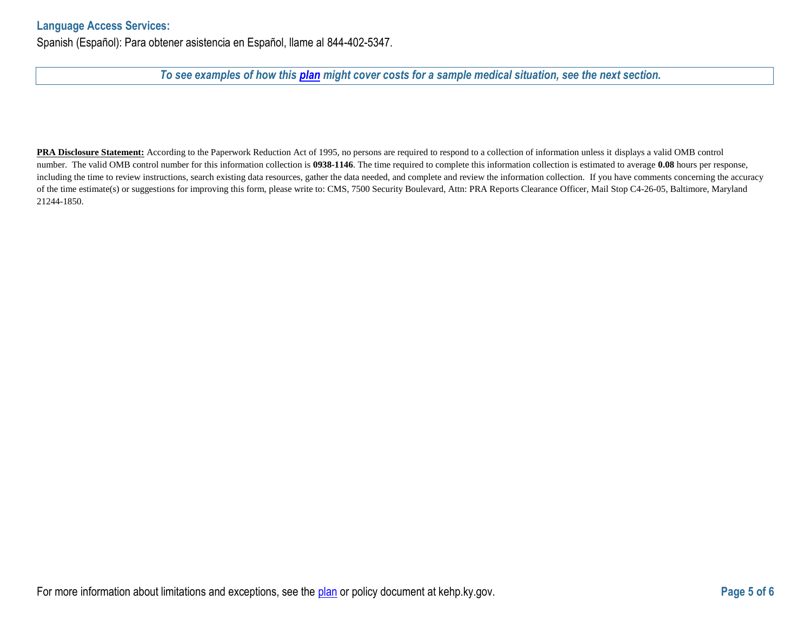## **Language Access Services:**

Spanish (Español): Para obtener asistencia en Español, llame al 844-402-5347.

## *To see examples of how this [plan](https://www.healthcare.gov/sbc-glossary/#plan) might cover costs for a sample medical situation, see the next section.*

**PRA Disclosure Statement:** According to the Paperwork Reduction Act of 1995, no persons are required to respond to a collection of information unless it displays a valid OMB control number. The valid OMB control number for this information collection is **0938-1146**. The time required to complete this information collection is estimated to average **0.08** hours per response, including the time to review instructions, search existing data resources, gather the data needed, and complete and review the information collection. If you have comments concerning the accuracy of the time estimate(s) or suggestions for improving this form, please write to: CMS, 7500 Security Boulevard, Attn: PRA Reports Clearance Officer, Mail Stop C4-26-05, Baltimore, Maryland 21244-1850.